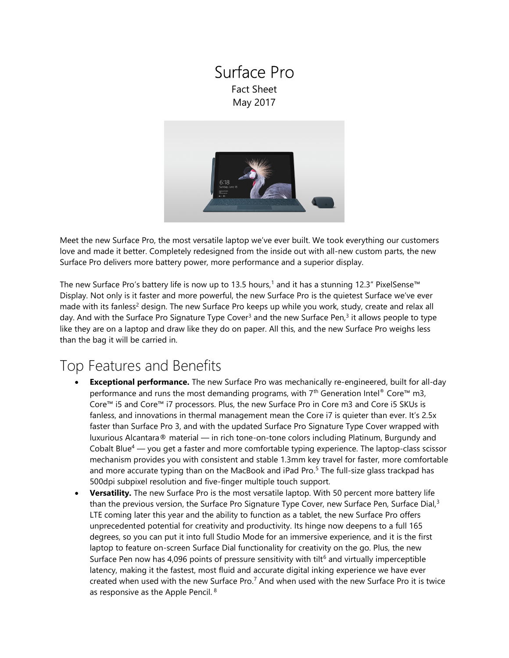### Surface Pro Fact Sheet May 2017



Meet the new Surface Pro, the most versatile laptop we've ever built. We took everything our customers love and made it better. Completely redesigned from the inside out with all-new custom parts, the new Surface Pro delivers more battery power, more performance and a superior display.

The new Surface Pro's battery life is now up to 13.5 hours,<sup>1</sup> and it has a stunning 12.3" PixelSense™ Display. Not only is it faster and more powerful, the new Surface Pro is the quietest Surface we've ever made with its fanless<sup>2</sup> design. The new Surface Pro keeps up while you work, study, create and relax all day. And with the Surface Pro Signature Type Cover<sup>3</sup> and the new Surface Pen,<sup>3</sup> it allows people to type like they are on a laptop and draw like they do on paper. All this, and the new Surface Pro weighs less than the bag it will be carried in.

# Top Features and Benefits

- **Exceptional performance.** The new Surface Pro was mechanically re-engineered, built for all-day performance and runs the most demanding programs, with  $7<sup>th</sup>$  Generation Intel® Core<sup>m</sup> m3, Core™ i5 and Core™ i7 processors. Plus, the new Surface Pro in Core m3 and Core i5 SKUs is fanless, and innovations in thermal management mean the Core i7 is quieter than ever. It's 2.5x faster than Surface Pro 3, and with the updated Surface Pro Signature Type Cover wrapped with luxurious Alcantara® material — in rich tone-on-tone colors including Platinum, Burgundy and Cobalt Blue<sup>4</sup> — you get a faster and more comfortable typing experience. The laptop-class scissor mechanism provides you with consistent and stable 1.3mm key travel for faster, more comfortable and more accurate typing than on the MacBook and iPad Pro.<sup>5</sup> The full-size glass trackpad has 500dpi subpixel resolution and five-finger multiple touch support.
- Versatility. The new Surface Pro is the most versatile laptop. With 50 percent more battery life than the previous version, the Surface Pro Signature Type Cover, new Surface Pen, Surface Dial,<sup>3</sup> LTE coming later this year and the ability to function as a tablet, the new Surface Pro offers unprecedented potential for creativity and productivity. Its hinge now deepens to a full 165 degrees, so you can put it into full Studio Mode for an immersive experience, and it is the first laptop to feature on-screen Surface Dial functionality for creativity on the go. Plus, the new Surface Pen now has 4,096 points of pressure sensitivity with tilt<sup>6</sup> and virtually imperceptible latency, making it the fastest, most fluid and accurate digital inking experience we have ever created when used with the new Surface Pro.<sup>7</sup> And when used with the new Surface Pro it is twice as responsive as the Apple Pencil. <sup>8</sup>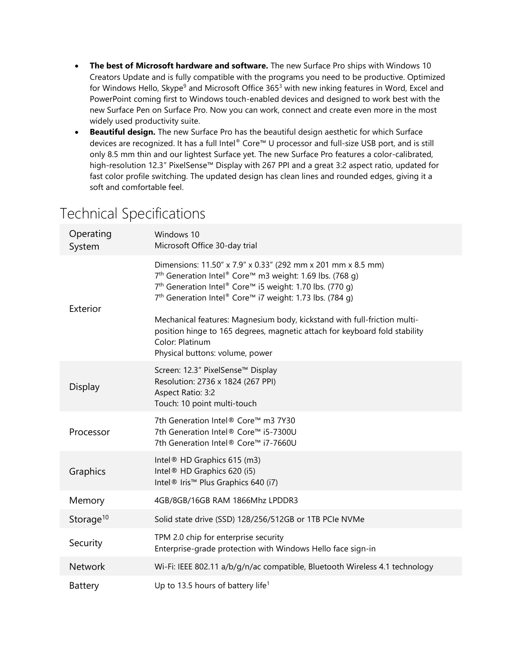- The best of Microsoft hardware and software. The new Surface Pro ships with Windows 10 Creators Update and is fully compatible with the programs you need to be productive. Optimized for Windows Hello, Skype<sup>9</sup> and Microsoft Office 365<sup>3</sup> with new inking features in Word, Excel and PowerPoint coming first to Windows touch-enabled devices and designed to work best with the new Surface Pen on Surface Pro. Now you can work, connect and create even more in the most widely used productivity suite.
- Beautiful design. The new Surface Pro has the beautiful design aesthetic for which Surface devices are recognized. It has a full Intel® Core™ U processor and full-size USB port, and is still only 8.5 mm thin and our lightest Surface yet. The new Surface Pro features a color-calibrated, high-resolution 12.3" PixelSense™ Display with 267 PPI and a great 3:2 aspect ratio, updated for fast color profile switching. The updated design has clean lines and rounded edges, giving it a soft and comfortable feel.

| Operating<br>System   | Windows 10<br>Microsoft Office 30-day trial                                                                                                                                                                                                                                                                                                                                                                                                                                                          |
|-----------------------|------------------------------------------------------------------------------------------------------------------------------------------------------------------------------------------------------------------------------------------------------------------------------------------------------------------------------------------------------------------------------------------------------------------------------------------------------------------------------------------------------|
| Exterior              | Dimensions: 11.50" x 7.9" x 0.33" (292 mm x 201 mm x 8.5 mm)<br>7 <sup>th</sup> Generation Intel® Core™ m3 weight: 1.69 lbs. (768 g)<br>7 <sup>th</sup> Generation Intel® Core™ i5 weight: 1.70 lbs. (770 g)<br>7 <sup>th</sup> Generation Intel® Core™ i7 weight: 1.73 lbs. (784 q)<br>Mechanical features: Magnesium body, kickstand with full-friction multi-<br>position hinge to 165 degrees, magnetic attach for keyboard fold stability<br>Color: Platinum<br>Physical buttons: volume, power |
| Display               | Screen: 12.3" PixelSense™ Display<br>Resolution: 2736 x 1824 (267 PPI)<br>Aspect Ratio: 3:2<br>Touch: 10 point multi-touch                                                                                                                                                                                                                                                                                                                                                                           |
| Processor             | 7th Generation Intel® Core™ m3 7Y30<br>7th Generation Intel® Core™ i5-7300U<br>7th Generation Intel® Core™ i7-7660U                                                                                                                                                                                                                                                                                                                                                                                  |
| Graphics              | Intel <sup>®</sup> HD Graphics 615 (m3)<br>Intel <sup>®</sup> HD Graphics 620 (i5)<br>Intel® Iris™ Plus Graphics 640 (i7)                                                                                                                                                                                                                                                                                                                                                                            |
| Memory                | 4GB/8GB/16GB RAM 1866Mhz LPDDR3                                                                                                                                                                                                                                                                                                                                                                                                                                                                      |
| Storage <sup>10</sup> | Solid state drive (SSD) 128/256/512GB or 1TB PCIe NVMe                                                                                                                                                                                                                                                                                                                                                                                                                                               |
| Security              | TPM 2.0 chip for enterprise security<br>Enterprise-grade protection with Windows Hello face sign-in                                                                                                                                                                                                                                                                                                                                                                                                  |
| <b>Network</b>        | Wi-Fi: IEEE 802.11 a/b/g/n/ac compatible, Bluetooth Wireless 4.1 technology                                                                                                                                                                                                                                                                                                                                                                                                                          |
| Battery               | Up to 13.5 hours of battery life <sup>1</sup>                                                                                                                                                                                                                                                                                                                                                                                                                                                        |

# Technical Specifications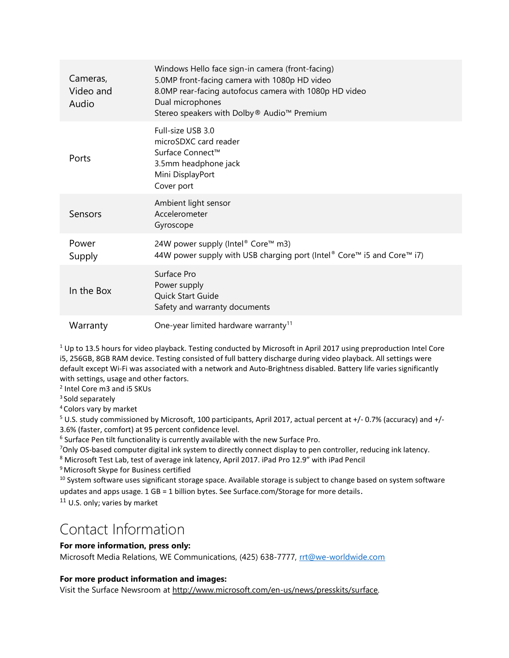| Cameras,<br>Video and<br>Audio | Windows Hello face sign-in camera (front-facing)<br>5.0MP front-facing camera with 1080p HD video<br>8.0MP rear-facing autofocus camera with 1080p HD video<br>Dual microphones<br>Stereo speakers with Dolby® Audio™ Premium |
|--------------------------------|-------------------------------------------------------------------------------------------------------------------------------------------------------------------------------------------------------------------------------|
| Ports                          | Full-size USB 3.0<br>microSDXC card reader<br>Surface Connect™<br>3.5mm headphone jack<br>Mini DisplayPort<br>Cover port                                                                                                      |
| Sensors                        | Ambient light sensor<br>Accelerometer<br>Gyroscope                                                                                                                                                                            |
| Power<br>Supply                | 24W power supply (Intel® Core™ m3)<br>44W power supply with USB charging port (Intel® Core™ i5 and Core™ i7)                                                                                                                  |
| In the Box                     | Surface Pro<br>Power supply<br>Quick Start Guide<br>Safety and warranty documents                                                                                                                                             |
| Warranty                       | One-year limited hardware warranty <sup>11</sup>                                                                                                                                                                              |

 $1$ Up to 13.5 hours for video playback. Testing conducted by Microsoft in April 2017 using preproduction Intel Core i5, 256GB, 8GB RAM device. Testing consisted of full battery discharge during video playback. All settings were default except Wi-Fi was associated with a network and Auto-Brightness disabled. Battery life varies significantly with settings, usage and other factors.

2 Intel Core m3 and i5 SKUs

<sup>3</sup> Sold separately

<sup>4</sup>Colors vary by market

<sup>5</sup> U.S. study commissioned by Microsoft, 100 participants, April 2017, actual percent at +/- 0.7% (accuracy) and +/-3.6% (faster, comfort) at 95 percent confidence level.

<sup>6</sup> Surface Pen tilt functionality is currently available with the new Surface Pro.

<sup>7</sup>Only OS-based computer digital ink system to directly connect display to pen controller, reducing ink latency.

<sup>8</sup> Microsoft Test Lab, test of average ink latency, April 2017. iPad Pro 12.9" with iPad Pencil

<sup>9</sup> Microsoft Skype for Business certified

<sup>10</sup> System software uses significant storage space. Available storage is subject to change based on system software updates and apps usage. 1 GB = 1 billion bytes. See Surface.com/Storage for more details.

<sup>11</sup> U.S. only; varies by market

### Contact Information

#### For more information, press only:

Microsoft Media Relations, WE Communications, (425) 638-7777, rrt@we-worldwide.com

#### For more product information and images:

Visit the Surface Newsroom at http://www.microsoft.com/en-us/news/presskits/surface.